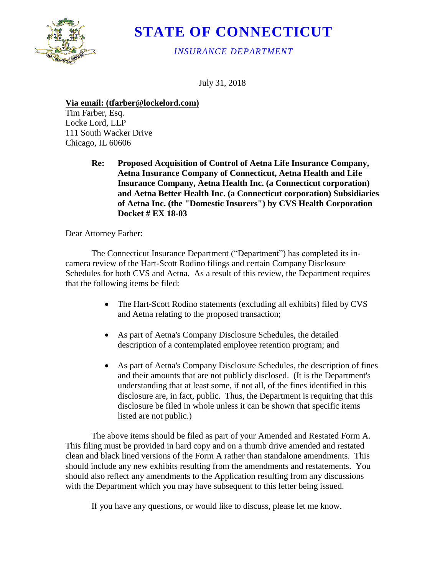

## **STATE OF CONNECTICUT**

*INSURANCE DEPARTMENT* 

July 31, 2018

## **Via email: (tfarber@lockelord.com)**

 Locke Lord, LLP Tim Farber, Esq. 111 South Wacker Drive Chicago, IL 60606

> **Re: Aetna Insurance Company of Connecticut, Aetna Health and Life Re: Proposed Acquisition of Control of Aetna Life Insurance Company, Insurance Company, Aetna Health Inc. (a Connecticut corporation) and Aetna Better Health Inc. (a Connecticut corporation) Subsidiaries of Aetna Inc. (the "Domestic Insurers") by CVS Health Corporation Docket # EX 18-03**

Dear Attorney Farber:

 camera review of the Hart-Scott Rodino filings and certain Company Disclosure The Connecticut Insurance Department ("Department") has completed its in-Schedules for both CVS and Aetna. As a result of this review, the Department requires that the following items be filed:

- The Hart-Scott Rodino statements (excluding all exhibits) filed by CVS and Aetna relating to the proposed transaction;
- As part of Aetna's Company Disclosure Schedules, the detailed description of a contemplated employee retention program; and
- As part of Aetna's Company Disclosure Schedules, the description of fines and their amounts that are not publicly disclosed. (It is the Department's understanding that at least some, if not all, of the fines identified in this disclosure are, in fact, public. Thus, the Department is requiring that this disclosure be filed in whole unless it can be shown that specific items listed are not public.)

The above items should be filed as part of your Amended and Restated Form A. This filing must be provided in hard copy and on a thumb drive amended and restated clean and black lined versions of the Form A rather than standalone amendments. This should include any new exhibits resulting from the amendments and restatements. You should also reflect any amendments to the Application resulting from any discussions with the Department which you may have subsequent to this letter being issued.

If you have any questions, or would like to discuss, please let me know.